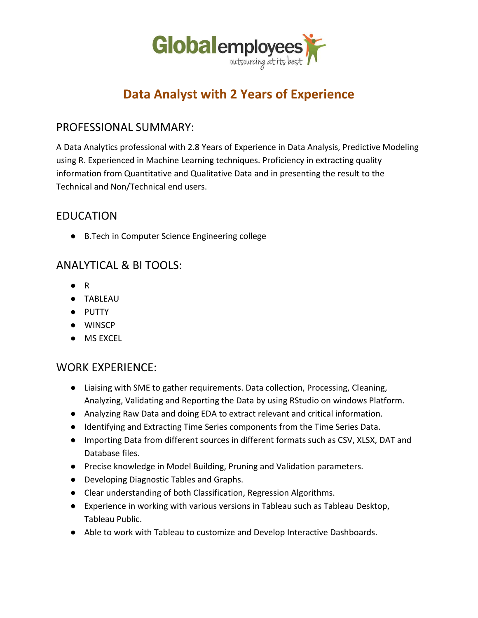

# **Data Analyst with 2 Years of Experience**

#### PROFESSIONAL SUMMARY:

A Data Analytics professional with 2.8 Years of Experience in Data Analysis, Predictive Modeling using R. Experienced in Machine Learning techniques. Proficiency in extracting quality information from Quantitative and Qualitative Data and in presenting the result to the Technical and Non/Technical end users.

## EDUCATION

● B.Tech in Computer Science Engineering college

## ANALYTICAL & BI TOOLS:

- R
- TABLEAU
- PUTTY
- WINSCP
- MS EXCEL

## WORK EXPERIENCE:

- Liaising with SME to gather requirements. Data collection, Processing, Cleaning, Analyzing, Validating and Reporting the Data by using RStudio on windows Platform.
- Analyzing Raw Data and doing EDA to extract relevant and critical information.
- Identifying and Extracting Time Series components from the Time Series Data.
- Importing Data from different sources in different formats such as CSV, XLSX, DAT and Database files.
- Precise knowledge in Model Building, Pruning and Validation parameters.
- Developing Diagnostic Tables and Graphs.
- Clear understanding of both Classification, Regression Algorithms.
- Experience in working with various versions in Tableau such as Tableau Desktop, Tableau Public.
- Able to work with Tableau to customize and Develop Interactive Dashboards.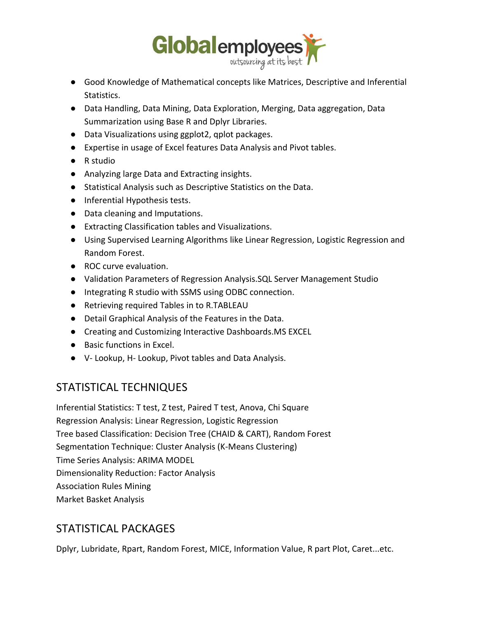

- Good Knowledge of Mathematical concepts like Matrices, Descriptive and Inferential Statistics.
- Data Handling, Data Mining, Data Exploration, Merging, Data aggregation, Data Summarization using Base R and Dplyr Libraries.
- Data Visualizations using ggplot2, qplot packages.
- Expertise in usage of Excel features Data Analysis and Pivot tables.
- R studio
- Analyzing large Data and Extracting insights.
- Statistical Analysis such as Descriptive Statistics on the Data.
- Inferential Hypothesis tests.
- Data cleaning and Imputations.
- Extracting Classification tables and Visualizations.
- Using Supervised Learning Algorithms like Linear Regression, Logistic Regression and Random Forest.
- ROC curve evaluation.
- Validation Parameters of Regression Analysis.SQL Server Management Studio
- Integrating R studio with SSMS using ODBC connection.
- Retrieving required Tables in to R.TABLEAU
- Detail Graphical Analysis of the Features in the Data.
- Creating and Customizing Interactive Dashboards.MS EXCEL
- Basic functions in Excel.
- V- Lookup, H- Lookup, Pivot tables and Data Analysis.

#### STATISTICAL TECHNIQUES

Inferential Statistics: T test, Z test, Paired T test, Anova, Chi Square Regression Analysis: Linear Regression, Logistic Regression Tree based Classification: Decision Tree (CHAID & CART), Random Forest Segmentation Technique: Cluster Analysis (K-Means Clustering) Time Series Analysis: ARIMA MODEL Dimensionality Reduction: Factor Analysis Association Rules Mining Market Basket Analysis

## STATISTICAL PACKAGES

Dplyr, Lubridate, Rpart, Random Forest, MICE, Information Value, R part Plot, Caret...etc.